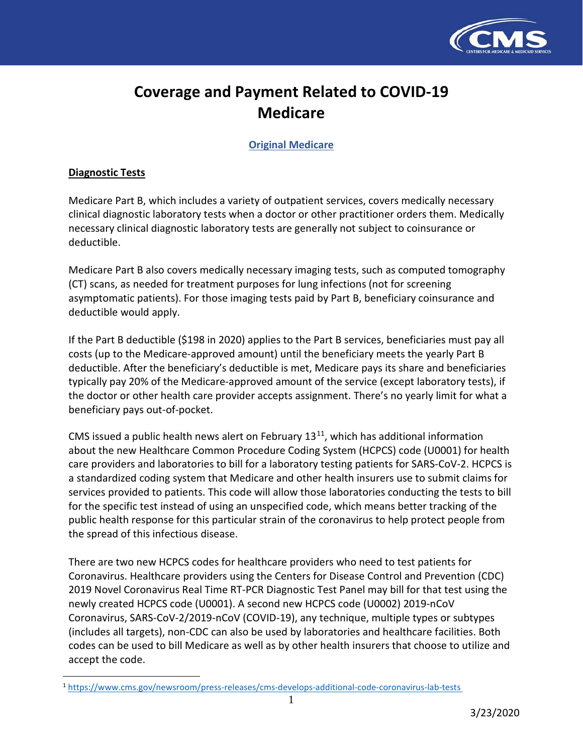

# **Coverage and Payment Related to COVID-19 Medicare**

**Original Medicare**

## **Diagnostic Tests**

 $\overline{\phantom{a}}$ 

Medicare Part B, which includes a variety of outpatient services, covers medically necessary clinical diagnostic laboratory tests when a doctor or other practitioner orders them. Medically necessary clinical diagnostic laboratory tests are generally not subject to coinsurance or deductible.

Medicare Part B also covers medically necessary imaging tests, such as computed tomography (CT) scans, as needed for treatment purposes for lung infections (not for screening asymptomatic patients). For those imaging tests paid by Part B, beneficiary coinsurance and deductible would apply.

If the Part B deductible (\$198 in 2020) applies to the Part B services, beneficiaries must pay all costs (up to the Medicare-approved amount) until the beneficiary meets the yearly Part B deductible. After the beneficiary's deductible is met, Medicare pays its share and beneficiaries typically pay 20% of the Medicare-approved amount of the service (except laboratory tests), if the doctor or other health care provider accepts assignment. There's no yearly limit for what a beneficiary pays out-of-pocket.

CMS issued a public health news alert on February  $13<sup>11</sup>$  $13<sup>11</sup>$  $13<sup>11</sup>$ , which has additional information about the new Healthcare Common Procedure Coding System (HCPCS) code (U0001) for health care providers and laboratories to bill for a laboratory testing patients for SARS-CoV-2. HCPCS is a standardized coding system that Medicare and other health insurers use to submit claims for services provided to patients. This code will allow those laboratories conducting the tests to bill for the specific test instead of using an unspecified code, which means better tracking of the public health response for this particular strain of the coronavirus to help protect people from the spread of this infectious disease.

There are two new HCPCS codes for healthcare providers who need to test patients for Coronavirus. Healthcare providers using the Centers for Disease Control and Prevention (CDC) 2019 Novel Coronavirus Real Time RT-PCR Diagnostic Test Panel may bill for that test using the newly created HCPCS code (U0001). A second new HCPCS code (U0002) 2019-nCoV Coronavirus, SARS-CoV-2/2019-nCoV (COVID-19), any technique, multiple types or subtypes (includes all targets), non-CDC can also be used by laboratories and healthcare facilities. Both codes can be used to bill Medicare as well as by other health insurers that choose to utilize and accept the code.

<span id="page-0-0"></span><sup>1</sup> <https://www.cms.gov/newsroom/press-releases/cms-develops-additional-code-coronavirus-lab-tests>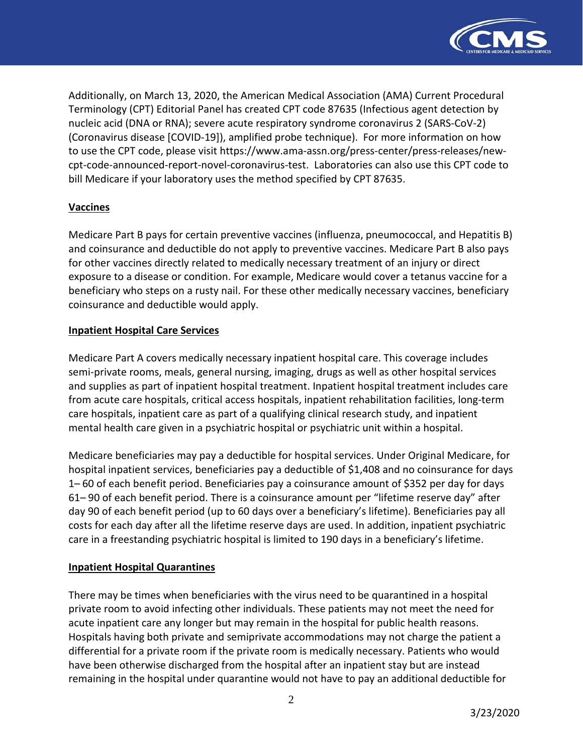

Additionally, on March 13, 2020, the American Medical Association (AMA) Current Procedural Terminology (CPT) Editorial Panel has created CPT code 87635 (Infectious agent detection by nucleic acid (DNA or RNA); severe acute respiratory syndrome coronavirus 2 (SARS-CoV-2) (Coronavirus disease [COVID-19]), amplified probe technique). For more information on how to use the CPT code, please visit [https://www.ama-assn.org/press-center/press-releases/new](https://www.ama-assn.org/press-center/press-releases/new-cpt-code-announced-report-novel-coronavirus-test)[cpt-code-announced-report-novel-coronavirus-test.](https://www.ama-assn.org/press-center/press-releases/new-cpt-code-announced-report-novel-coronavirus-test) Laboratories can also use this CPT code to bill Medicare if your laboratory uses the method specified by CPT 87635.

# **Vaccines**

Medicare Part B pays for certain preventive vaccines (influenza, pneumococcal, and Hepatitis B) and coinsurance and deductible do not apply to preventive vaccines. Medicare Part B also pays for other vaccines directly related to medically necessary treatment of an injury or direct exposure to a disease or condition. For example, Medicare would cover a tetanus vaccine for a beneficiary who steps on a rusty nail. For these other medically necessary vaccines, beneficiary coinsurance and deductible would apply.

#### **Inpatient Hospital Care Services**

Medicare Part A covers medically necessary inpatient hospital care. This coverage includes semi-private rooms, meals, general nursing, imaging, drugs as well as other hospital services and supplies as part of inpatient hospital treatment. Inpatient hospital treatment includes care from acute care hospitals, critical access hospitals, inpatient rehabilitation facilities, long-term care hospitals, inpatient care as part of a qualifying clinical research study, and inpatient mental health care given in a psychiatric hospital or psychiatric unit within a hospital.

Medicare beneficiaries may pay a deductible for hospital services. Under Original Medicare, for hospital inpatient services, beneficiaries pay a deductible of \$1,408 and no coinsurance for days 1– 60 of each benefit period. Beneficiaries pay a coinsurance amount of \$352 per day for days 61– 90 of each benefit period. There is a coinsurance amount per "lifetime reserve day" after day 90 of each benefit period (up to 60 days over a beneficiary's lifetime). Beneficiaries pay all costs for each day after all the lifetime reserve days are used. In addition, inpatient psychiatric care in a freestanding psychiatric hospital is limited to 190 days in a beneficiary's lifetime.

## **Inpatient Hospital Quarantines**

There may be times when beneficiaries with the virus need to be quarantined in a hospital private room to avoid infecting other individuals. These patients may not meet the need for acute inpatient care any longer but may remain in the hospital for public health reasons. Hospitals having both private and semiprivate accommodations may not charge the patient a differential for a private room if the private room is medically necessary. Patients who would have been otherwise discharged from the hospital after an inpatient stay but are instead remaining in the hospital under quarantine would not have to pay an additional deductible for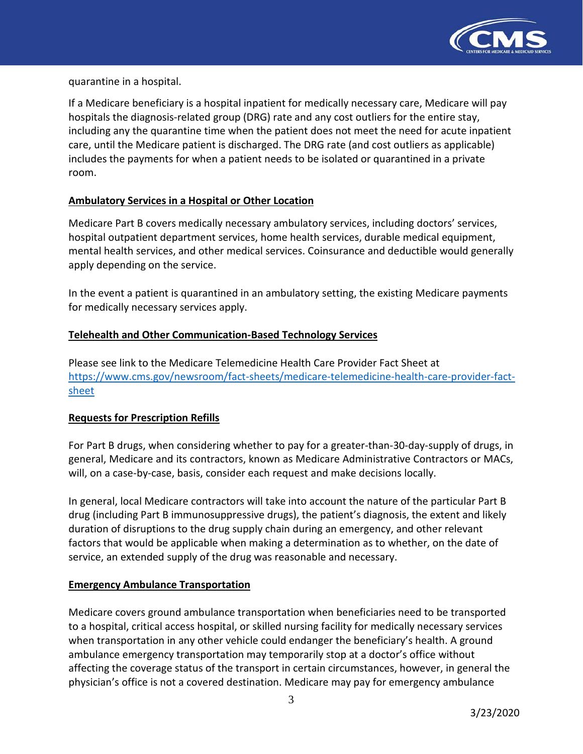

quarantine in a hospital.

If a Medicare beneficiary is a hospital inpatient for medically necessary care, Medicare will pay hospitals the diagnosis-related group (DRG) rate and any cost outliers for the entire stay, including any the quarantine time when the patient does not meet the need for acute inpatient care, until the Medicare patient is discharged. The DRG rate (and cost outliers as applicable) includes the payments for when a patient needs to be isolated or quarantined in a private room.

# **Ambulatory Services in a Hospital or Other Location**

Medicare Part B covers medically necessary ambulatory services, including doctors' services, hospital outpatient department services, home health services, durable medical equipment, mental health services, and other medical services. Coinsurance and deductible would generally apply depending on the service.

In the event a patient is quarantined in an ambulatory setting, the existing Medicare payments for medically necessary services apply.

# **Telehealth and Other Communication-Based Technology Services**

Please see link to the Medicare Telemedicine Health Care Provider Fact Sheet at [https://www.cms.gov/newsroom/fact-sheets/medicare-telemedicine-health-care-provider-fact](https://www.cms.gov/newsroom/fact-sheets/medicare-telemedicine-health-care-provider-fact-sheet)[sheet](https://www.cms.gov/newsroom/fact-sheets/medicare-telemedicine-health-care-provider-fact-sheet) 

## **Requests for Prescription Refills**

For Part B drugs, when considering whether to pay for a greater-than-30-day-supply of drugs, in general, Medicare and its contractors, known as Medicare Administrative Contractors or MACs, will, on a case-by-case, basis, consider each request and make decisions locally.

In general, local Medicare contractors will take into account the nature of the particular Part B drug (including Part B immunosuppressive drugs), the patient's diagnosis, the extent and likely duration of disruptions to the drug supply chain during an emergency, and other relevant factors that would be applicable when making a determination as to whether, on the date of service, an extended supply of the drug was reasonable and necessary.

## **Emergency Ambulance Transportation**

Medicare covers ground ambulance transportation when beneficiaries need to be transported to a hospital, critical access hospital, or skilled nursing facility for medically necessary services when transportation in any other vehicle could endanger the beneficiary's health. A ground ambulance emergency transportation may temporarily stop at a doctor's office without affecting the coverage status of the transport in certain circumstances, however, in general the physician's office is not a covered destination. Medicare may pay for emergency ambulance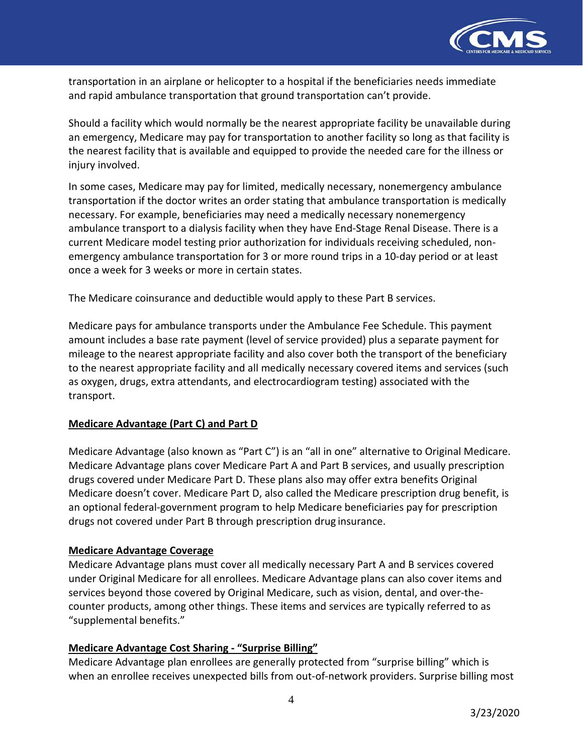

transportation in an airplane or helicopter to a hospital if the beneficiaries needs immediate and rapid ambulance transportation that ground transportation can't provide.

Should a facility which would normally be the nearest appropriate facility be unavailable during an emergency, Medicare may pay for transportation to another facility so long as that facility is the nearest facility that is available and equipped to provide the needed care for the illness or injury involved.

In some cases, Medicare may pay for limited, medically necessary, nonemergency ambulance transportation if the doctor writes an order stating that ambulance transportation is medically necessary. For example, beneficiaries may need a medically necessary nonemergency ambulance transport to a dialysis facility when they have End-Stage Renal Disease. There is a current Medicare model testing prior authorization for individuals receiving scheduled, nonemergency ambulance transportation for 3 or more round trips in a 10-day period or at least once a week for 3 weeks or more in certain states.

The Medicare coinsurance and deductible would apply to these Part B services.

Medicare pays for ambulance transports under the Ambulance Fee Schedule. This payment amount includes a base rate payment (level of service provided) plus a separate payment for mileage to the nearest appropriate facility and also cover both the transport of the beneficiary to the nearest appropriate facility and all medically necessary covered items and services (such as oxygen, drugs, extra attendants, and electrocardiogram testing) associated with the transport.

## **Medicare Advantage (Part C) and Part D**

Medicare Advantage (also known as "Part C") is an "all in one" alternative to Original Medicare. Medicare Advantage plans cover Medicare Part A and Part B services, and usually prescription drugs covered under Medicare Part D. These plans also may offer extra benefits Original Medicare doesn't cover. Medicare Part D, also called the Medicare prescription drug benefit, is an optional federal-government program to help Medicare beneficiaries pay for prescription drugs not covered under Part B through prescription drug insurance.

## **Medicare Advantage Coverage**

Medicare Advantage plans must cover all medically necessary Part A and B services covered under Original Medicare for all enrollees. Medicare Advantage plans can also cover items and services beyond those covered by Original Medicare, such as vision, dental, and over-thecounter products, among other things. These items and services are typically referred to as "supplemental benefits."

## **Medicare Advantage Cost Sharing - "Surprise Billing"**

Medicare Advantage plan enrollees are generally protected from "surprise billing" which is when an enrollee receives unexpected bills from out-of-network providers. Surprise billing most